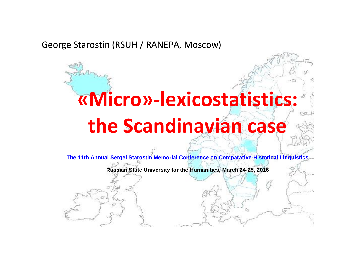# George Starostin (RSUH / RANEPA, Moscow)

# **«Micro»-lexicostatistics: the Scandinavian case**

**[The 11th Annual Sergei Starostin Memorial Conference on Comparative-Historical Linguistics](http://starling.rinet.ru/confer/confer2016.htm)**

**Russian State University for the Humanities, March 24-25, 2016**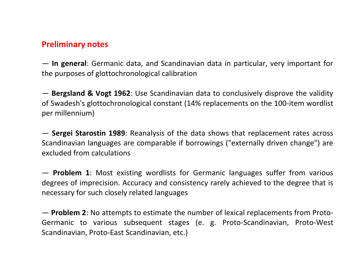#### **Preliminary notes**

— **In general**: Germanic data, and Scandinavian data in particular, very important for the purposes of glottochronological calibration

— **Bergsland & Vogt 1962**: Use Scandinavian data to conclusively disprove the validity of Swadesh's glottochronological constant (14% replacements on the 100-item wordlist per millennium)

— **Sergei Starostin 1989**: Reanalysis of the data shows that replacement rates across Scandinavian languages are comparable if borrowings ("externally driven change") are excluded from calculations

— **Problem 1**: Most existing wordlists for Germanic languages suffer from various degrees of imprecision. Accuracy and consistency rarely achieved to the degree that is necessary for such closely related languages

— **Problem 2**: No attempts to estimate the number of lexical replacements from Proto-Germanic to various subsequent stages (e. g. Proto-Scandinavian, Proto-West Scandinavian, Proto-East Scandinavian, etc.)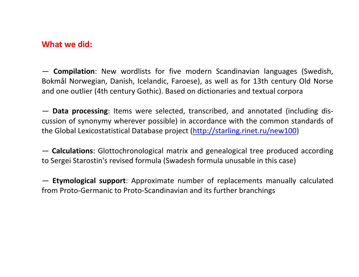## **What we did:**

— **Compilation**: New wordlists for five modern Scandinavian languages (Swedish, Bokmål Norwegian, Danish, Icelandic, Faroese), as well as for 13th century Old Norse and one outlier (4th century Gothic). Based on dictionaries and textual corpora

— **Data processing**: Items were selected, transcribed, and annotated (including discussion of synonymy wherever possible) in accordance with the common standards of the Global Lexicostatistical Database project [\(http://starling.rinet.ru/new100\)](http://starling.rinet.ru/new100)

— **Calculations**: Glottochronological matrix and genealogical tree produced according to Sergei Starostin's revised formula (Swadesh formula unusable in this case)

— **Etymological support**: Approximate number of replacements manually calculated from Proto-Germanic to Proto-Scandinavian and its further branchings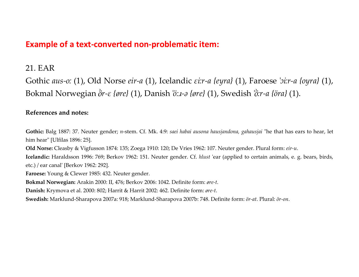## **Example of a text-converted non-problematic item:**

#### 21. EAR

Gothic *aus-oː* (1), Old Norse *eir-a* (1), Icelandic *ɛiːr-a {eyra}* (1), Faroese *ˈɔiːr-a {oyra}* (1), Bokmal Norwegian *r-ɛ {øre}* (1), Danish *ˈöːɹ-ə {øre}* (1), Swedish *ˈ ːr-a {öra}* (1).

#### **References and notes:**

**Gothic:** Balg 1887: 37. Neuter gender; *n*-stem. Cf. Mk. 4:9: *saei habai ausona hausjandona, gahausjai* "he that has ears to hear, let him hear" [Ulfilas 1896: 25].

**Old Norse:** Cleasby & Vigfusson 1874: 135; Zoega 1910: 120; De Vries 1962: 107. Neuter gender. Plural form: *eir-u*.

**Icelandic:** Haraldsson 1996: 769; Berkov 1962: 151. Neuter gender. Cf. *hlust* 'ear (applied to certain animals, e. g. bears, birds, etc.) / ear canal' [Berkov 1962: 292].

**Faroese:** Young & Clewer 1985: 432. Neuter gender.

**Bokmal Norwegian:** Arakin 2000: II, 476; Berkov 2006: 1042. Definite form: *øre-t*.

**Danish:** Krymova et al. 2000: 802; Harrit & Harrit 2002: 462. Definite form: *øre-t*.

**Swedish:** Marklund-Sharapova 2007a: 918; Marklund-Sharapova 2007b: 748. Definite form: *ör-at*. Plural: *ör-on*.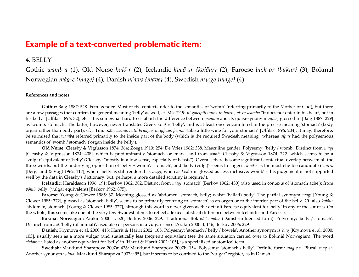#### **Example of a text-converted problematic item:**

#### 4. BELLY

Gothic *wamb-a* (1), Old Norse *kvið-r* (2), Icelandic *kvıːð-ʏr {kviður}* (2), Faroese *buːk-ʋr {búkur}* (3), Bokmal Norwegian *màg-ɛ {mage}* (4), Danish *mˈaːvə {mave}* (4), Swedish *mˈɒːgə {mage}* (4).

#### **References and notes:**

**Gothic:** Balg 1887: 528. Fem. gender. Most of the contexts refer to the semantics of 'womb' (referring primarily to the Mother of God), but there are a few passages that confirm the general meaning 'belly' as well, cf. Mk. 7:19: *ni galeiþiþ imma in hairto, ak in wamba* "it does not enter in his heart, but in his belly" [Ulfilas 1896: 32], etc. It is somewhat hard to establish the difference between *wamb-a* and its quasi-synonym *qiþus*, glossed in [Balg 1887: 229] as 'womb; stomach'. The latter, however, never translates Greek κοιλια 'belly', and is at least once encountered in the precise meaning 'stomach' (body organ rather than body part), cf. I Tim. 5:23: *weinis leitil brukjais in qiþaus þeinis* "take a little wine for your stomach" [Ulfilas 1896: 204]. It may, therefore, be surmised that *wamba* referred primarily to the inside part of the body (which is the required Swadesh meaning', whereas *qiþus* had the polysemous semantics of 'womb / stomach' ('organ inside the belly').

**Old Norse:** Cleasby & Vigfusson 1874: 364; Zoega 1910: 254; De Vries 1962: 338. Masculine gender. Polysemy: 'belly / womb'. Distinct from *magi* [Cleasby & Vigfusson 1874: 408], which is predominantly 'stomach' or 'maw', and from *vɔmb* [Cleasby & Vigfusson 1874: 722] which seems to be a "vulgar" equivalent of 'belly' (Cleasby: "mostly in a low sense, especially of beasts"). Overall, there is some significant contextual overlap between all the three words, but the underlying opposition of 'belly ~ womb', 'stomach', and 'belly (vulg.)' seems to suggest *kvið-r* as the most eligible candidate (*contra* [Bergsland & Vogt 1962: 117], where 'belly' is still rendered as *magi*, whereas *kvið-r* is glossed as 'less inclusive; womb' - this judgement is not supported well by the data in Cleasby's dictionary, but, perhaps, a more detailed scrutiny is required).

**Icelandic:** Haraldsson 1996: 191; Berkov 1962: 382. Distinct from *magi* 'stomach' [Berkov 1962: 430] (also used in contexts of 'stomach ache'); from *vömb* 'belly' (vulgar equivalent) [Berkov 1962: 875].

**Faroese:** Young & Clewer 1985: 67. Meaning glossed as 'abdomen, stomach, belly; waist; (ballad) body'. The partial synonym *magi* [Young & Clewer 1985: 372], glossed as 'stomach, belly', seems to be primarily referring to 'stomach' as an organ or to the interior part of the belly. Cf. also *kviður* 'abdomen, stomach' [Young & Clewer 1985: 327], although this word is never given as the default Faroese equivalent for 'belly' in any of the sources. On the whole, this seems like one of the very few Swadesh items to reflect a lexicostatistical difference between Icelandic and Faroese.

**Bokmal Norwegian:** Arakin 2000: I, 520; Berkov 2006: 229. "Traditional Bokmål": *màve* (Danish-influenced form). Polysemy: 'belly / stomach'. Distinct from *buk* 'belly (of animal)', used also of persons in a vulgar sense [Arakin 2000: I, 146; Berkov 2006: 229].

**Danish:** Krymova et al. 2000: 418; Harrit & Harrit 2002: 105. Polysemy: 'stomach / belly / bowels'. Another synonym is *bug* [Krymova et al. 2000: 103], usually seen as a more vulgar (and statistically less frequent) equivalent (see the same situation carried over to Bokmål Norwegian). The word *abdomen*, listed as another equivalent for 'belly' in [Harrit & Harrit 2002: 105], is a specialized anatomical term.

**Swedish:** Marklund-Sharapova 2007a: 436; Marklund-Sharapova 2007b: 154. Polysemy: 'stomach / belly'. Definite form: *mag-e-n*. Plural: *mag-ar*. Another synonym is *buk* [Marklund-Sharapova 2007a: 95], but it seems to be confined to the "vulgar" register, as in Danish.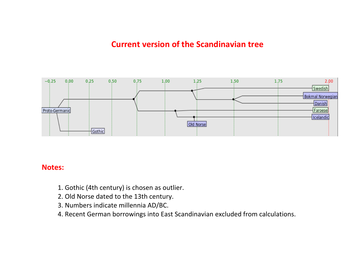# **Current version of the Scandinavian tree**



#### **Notes:**

- 1. Gothic (4th century) is chosen as outlier.
- 2. Old Norse dated to the 13th century.
- 3. Numbers indicate millennia AD/BC.
- 4. Recent German borrowings into East Scandinavian excluded from calculations.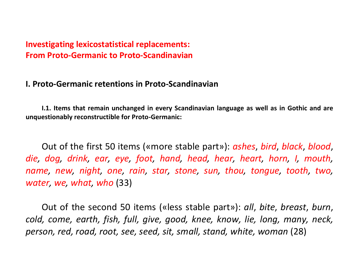# **I. Proto-Germanic retentions in Proto-Scandinavian**

**I.1. Items that remain unchanged in every Scandinavian language as well as in Gothic and are unquestionably reconstructible for Proto-Germanic:**

Out of the first 50 items («more stable part»): *ashes*, *bird*, *black*, *blood*, *die, dog, drink, ear, eye, foot, hand, head, hear, heart, horn, I, mouth, name, new, night, one, rain, star, stone, sun, thou, tongue, tooth, two, water, we, what, who* (33)

Out of the second 50 items («less stable part»): *all*, *bite*, *breast*, *burn*, *cold, come, earth, fish, full, give, good, knee, know, lie, long, many, neck, person, red, road, root, see, seed, sit, small, stand, white, woman* (28)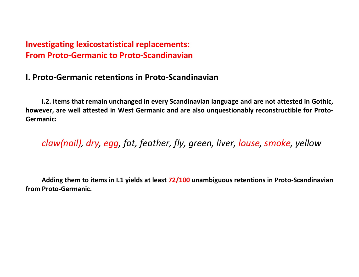# **I. Proto-Germanic retentions in Proto-Scandinavian**

**I.2. Items that remain unchanged in every Scandinavian language and are not attested in Gothic, however, are well attested in West Germanic and are also unquestionably reconstructible for Proto-Germanic:**

*claw(nail), dry, egg, fat, feather, fly, green, liver, louse, smoke, yellow*

**Adding them to items in I.1 yields at least 72/100 unambiguous retentions in Proto-Scandinavian from Proto-Germanic.**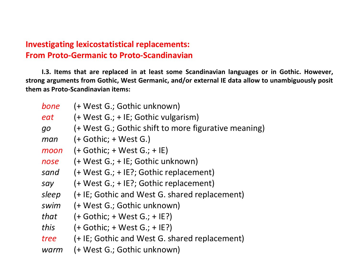**I.3. Items that are replaced in at least some Scandinavian languages or in Gothic. However, strong arguments from Gothic, West Germanic, and/or external IE data allow to unambiguously posit them as Proto-Scandinavian items:**

| bone      | (+ West G.; Gothic unknown)                          |
|-----------|------------------------------------------------------|
| eat       | (+ West G.; + IE; Gothic vulgarism)                  |
| <b>go</b> | (+ West G.; Gothic shift to more figurative meaning) |
| man       | $(+$ Gothic; + West G.)                              |
| moon      | $(+$ Gothic; + West G.; + IE)                        |
| nose      | (+ West G.; + IE; Gothic unknown)                    |
| sand      | (+ West G.; + IE?; Gothic replacement)               |
| say       | (+ West G.; + IE?; Gothic replacement)               |
| sleep     | (+ IE; Gothic and West G. shared replacement)        |
| swim      | (+ West G.; Gothic unknown)                          |
| that      | $(+$ Gothic; + West G.; + IE?)                       |
| this      | $(+$ Gothic; + West G.; + IE?)                       |
| tree      | (+ IE; Gothic and West G. shared replacement)        |
| warm      | (+ West G.; Gothic unknown)                          |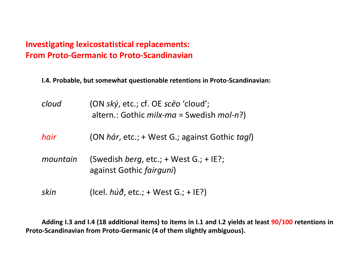**I.4. Probable, but somewhat questionable retentions in Proto-Scandinavian:**

| cloud    | (ON ský, etc.; cf. OE sceo 'cloud';<br>altern.: Gothic <i>milx-ma</i> = Swedish <i>mol-n</i> ?) |
|----------|-------------------------------------------------------------------------------------------------|
| hair     | (ON hár, etc.; + West G.; against Gothic tagl)                                                  |
| mountain | (Swedish <i>berg</i> , etc.; + West G.; + IE?;<br>against Gothic fairguni)                      |
| skin     | (Icel. $h\acute{u}\acute{\sigma}$ , etc.; + West G.; + IE?)                                     |

**Adding I.3 and I.4 (18 additional items) to items in I.1 and I.2 yields at least 90/100 retentions in Proto-Scandinavian from Proto-Germanic (4 of them slightly ambiguous).**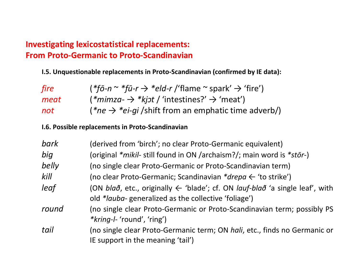**I.5. Unquestionable replacements in Proto-Scandinavian (confirmed by IE data):**

| fire | $(*f\bar{o}\text{-}n \sim *f\bar{u}\text{-}r \rightarrow *eld\text{-}r$ /'flame $\sim$ spark' $\rightarrow$ 'fire') |  |  |
|------|---------------------------------------------------------------------------------------------------------------------|--|--|
| meat | $(*minza- \rightarrow *kjot/$ 'intestines?' $\rightarrow$ 'meat')                                                   |  |  |
| not  | $(*ne \rightarrow *ei-qi/shift from an emphasize time adverb/$                                                      |  |  |

#### **I.6. Possible replacements in Proto-Scandinavian**

| bark  | (derived from 'birch'; no clear Proto-Germanic equivalent)                                               |  |  |  |
|-------|----------------------------------------------------------------------------------------------------------|--|--|--|
| big   | (original *mikil- still found in ON /archaism?/; main word is *stōr-)                                    |  |  |  |
| belly | (no single clear Proto-Germanic or Proto-Scandinavian term)                                              |  |  |  |
| kill  | (no clear Proto-Germanic; Scandinavian $*$ drepa $\leftarrow$ 'to strike')                               |  |  |  |
| leaf  | (ON bla $\delta$ , etc., originally $\leftarrow$ 'blade'; cf. ON lauf-bla $\delta$ 'a single leaf', with |  |  |  |
|       | old * <i>lauba</i> -generalized as the collective 'foliage')                                             |  |  |  |
| round | (no single clear Proto-Germanic or Proto-Scandinavian term; possibly PS                                  |  |  |  |
|       | <i>*kring-l-'round','ring'</i> )                                                                         |  |  |  |
| tail  | (no single clear Proto-Germanic term; ON hali, etc., finds no Germanic or                                |  |  |  |
|       | IE support in the meaning 'tail')                                                                        |  |  |  |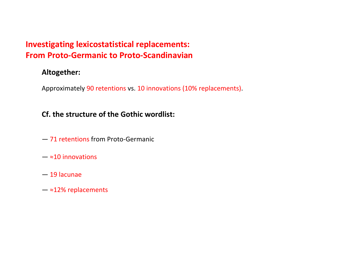#### **Altogether:**

Approximately 90 retentions vs. 10 innovations (10% replacements).

#### **Cf. the structure of the Gothic wordlist:**

- 71 retentions from Proto-Germanic
- $-$  ≈10 innovations
- 19 lacunae
- $-$  ≈12% replacements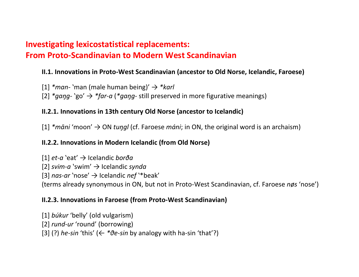# **Investigating lexicostatistical replacements: From Proto-Scandinavian to Modern West Scandinavian**

#### **II.1. Innovations in Proto-West Scandinavian (ancestor to Old Norse, Icelandic, Faroese)**

[1] *\*man-* ʽman (male human being)' → *\*karl*

 $[2]$  *\*gang*- `go'  $\rightarrow$  *\*far-a* (*\*gang*- still preserved in more figurative meanings)

#### **II.2.1. Innovations in 13th century Old Norse (ancestor to Icelandic)**

 $[1]$  *\*māni* 'moon'  $\rightarrow$  ON *tungl* (cf. Faroese *máni*; in ON, the original word is an archaism)

#### **II.2.2. Innovations in Modern Icelandic (from Old Norse)**

[1] *et-a* ʽeat' → Icelandic *borða* [2] *svim-a* ʽswim' → Icelandic *synda* [3] *nas-ar* ʽnose' → Icelandic *nef* ʽ\*beak' (terms already synonymous in ON, but not in Proto-West Scandinavian, cf. Faroese *nøs* ʻnose')

#### **II.2.3. Innovations in Faroese (from Proto-West Scandinavian)**

[1] *búkur* ʻbelly' (old vulgarism)

[2] *rund-ur* ʻround' (borrowing)

[3] (?) *he-sin* 'this' ( $\leftarrow * \vartheta$ *e-sin* by analogy with ha-sin 'that'?)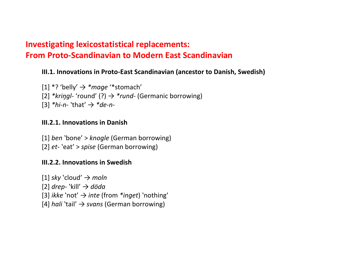# **Investigating lexicostatistical replacements: From Proto-Scandinavian to Modern East Scandinavian**

#### **III.1. Innovations in Proto-East Scandinavian (ancestor to Danish, Swedish)**

[1] \*? ʻbelly' → *\*mage* ʻ\*stomach' [2] *\*kriŋgl-* ʻround' (?) → *\*rund-* (Germanic borrowing)  $[3]$  *\*hi-n-* 'that'  $\rightarrow$  *\*de-n-*

#### **III.2.1. Innovations in Danish**

[1] *ben `bone' > knogle* (German borrowing) [2] *et-* `eat' > *spise* (German borrowing)

#### **III.2.2. Innovations in Swedish**

 $[1]$  *sky*  $\text{cloud'} \rightarrow \text{moln}$ [2] *drep-* ʽkill' → *döda*  $[3]$  *ikke* 'not'  $\rightarrow$  *inte* (from *\*inget*) 'nothing' [4] *hali* ʽtail' → *svans* (German borrowing)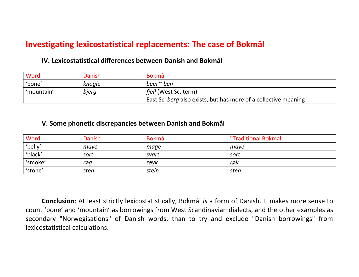# **Investigating lexicostatistical replacements: The case of Bokmål**

#### **IV. Lexicostatistical differences between Danish and Bokmål**

| Word       | Danish | <b>Bokmål</b>                                                   |  |
|------------|--------|-----------------------------------------------------------------|--|
| 'bone'     | knogle | bein $\sim$ ben                                                 |  |
| 'mountain' | bjerg  | <i>fjell</i> (West Sc. term)                                    |  |
|            |        | East Sc. berg also exists, but has more of a collective meaning |  |

#### **V. Some phonetic discrepancies between Danish and Bokmål**

| Word    | Danish | Bokmål | "Traditional Bokmål" |
|---------|--------|--------|----------------------|
| 'belly' | mave   | mage   | mave                 |
| 'black' | sort   | svart  | sort                 |
| 'smoke' | røg    | røyk   | røk                  |
| 'stone' | sten   | stein  | sten                 |

**Conclusion**: At least strictly lexicostatistically, Bokmål *is* a form of Danish. It makes more sense to count ʻbone' and ʻmountain' as borrowings from West Scandinavian dialects, and the other examples as secondary "Norwegisations" of Danish words, than to try and exclude "Danish borrowings" from lexicostatistical calculations.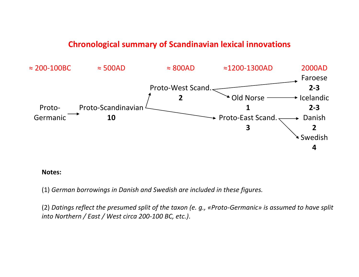# **Chronological summary of Scandinavian lexical innovations**



#### **Notes:**

(1) *German borrowings in Danish and Swedish are included in these figures.*

(2) *Datings reflect the presumed split of the taxon (e. g., «Proto-Germanic» is assumed to have split into Northern / East / West circa 200-100 BC, etc.)*.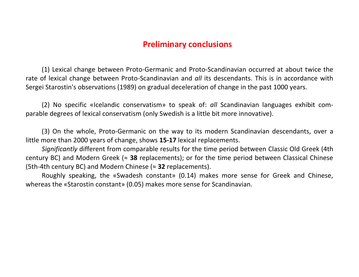# **Preliminary conclusions**

(1) Lexical change between Proto-Germanic and Proto-Scandinavian occurred at about twice the rate of lexical change between Proto-Scandinavian and *all* its descendants. This is in accordance with Sergei Starostin's observations (1989) on gradual deceleration of change in the past 1000 years.

(2) No specific «Icelandic conservatism» to speak of: *all* Scandinavian languages exhibit comparable degrees of lexical conservatism (only Swedish is a little bit more innovative).

(3) On the whole, Proto-Germanic on the way to its modern Scandinavian descendants, over a little more than 2000 years of change, shows **15-17** lexical replacements.

*Significantly* different from comparable results for the time period between Classic Old Greek (4th century BC) and Modern Greek (≈ **38** replacements); or for the time period between Classical Chinese (5th-4th century BC) and Modern Chinese (≈ **32** replacements).

Roughly speaking, the «Swadesh constant» (0.14) makes more sense for Greek and Chinese, whereas the «Starostin constant» (0.05) makes more sense for Scandinavian.